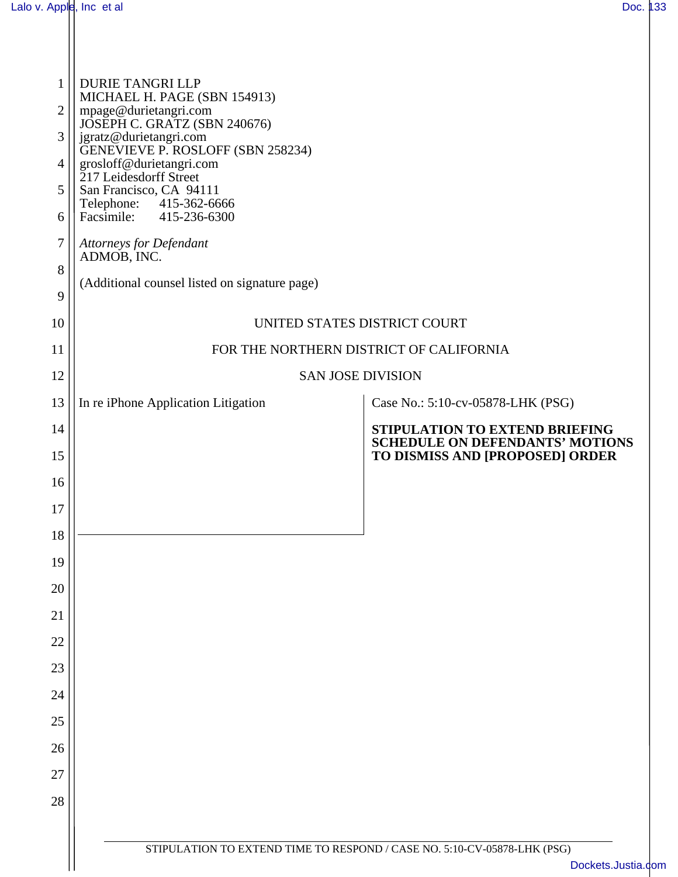| $\mathbf{1}$<br>$\overline{2}$<br>3<br>4<br>5<br>6<br>7<br>8<br>9 | DURIE TANGRI LLP<br>MICHAEL H. PAGE (SBN 154913)<br>mpage@durietangri.com<br>JOSÉPH C. GRATZ (SBN 240676)<br>jgratz@durietangri.com<br>GENEVIEVE P. ROSLOFF (SBN 258234)<br>grosloff@durietangri.com<br>217 Leidesdorff Street<br>San Francisco, CA 94111<br>Telephone: 415-362-6666<br>Facsimile: 415-236-6300<br><b>Attorneys for Defendant</b><br>ADMOB, INC.<br>(Additional counsel listed on signature page) |                                                                          |  |
|-------------------------------------------------------------------|-------------------------------------------------------------------------------------------------------------------------------------------------------------------------------------------------------------------------------------------------------------------------------------------------------------------------------------------------------------------------------------------------------------------|--------------------------------------------------------------------------|--|
| 10                                                                | UNITED STATES DISTRICT COURT                                                                                                                                                                                                                                                                                                                                                                                      |                                                                          |  |
| 11                                                                | FOR THE NORTHERN DISTRICT OF CALIFORNIA                                                                                                                                                                                                                                                                                                                                                                           |                                                                          |  |
| 12                                                                | <b>SAN JOSE DIVISION</b>                                                                                                                                                                                                                                                                                                                                                                                          |                                                                          |  |
| 13                                                                | In re iPhone Application Litigation                                                                                                                                                                                                                                                                                                                                                                               | Case No.: 5:10-cv-05878-LHK (PSG)                                        |  |
| 14<br>15                                                          |                                                                                                                                                                                                                                                                                                                                                                                                                   | STIPULATION TO EXTEND BRIEFING<br><b>SCHEDULE ON DEFENDANTS' MOTIONS</b> |  |
| 16                                                                |                                                                                                                                                                                                                                                                                                                                                                                                                   | TO DISMISS AND [PROPOSED] ORDER                                          |  |
| 17                                                                |                                                                                                                                                                                                                                                                                                                                                                                                                   |                                                                          |  |
| 18                                                                |                                                                                                                                                                                                                                                                                                                                                                                                                   |                                                                          |  |
| 19                                                                |                                                                                                                                                                                                                                                                                                                                                                                                                   |                                                                          |  |
| 20                                                                |                                                                                                                                                                                                                                                                                                                                                                                                                   |                                                                          |  |
| 21                                                                |                                                                                                                                                                                                                                                                                                                                                                                                                   |                                                                          |  |
| 22                                                                |                                                                                                                                                                                                                                                                                                                                                                                                                   |                                                                          |  |
| 23                                                                |                                                                                                                                                                                                                                                                                                                                                                                                                   |                                                                          |  |
| 24                                                                |                                                                                                                                                                                                                                                                                                                                                                                                                   |                                                                          |  |
| 25                                                                |                                                                                                                                                                                                                                                                                                                                                                                                                   |                                                                          |  |
| 26                                                                |                                                                                                                                                                                                                                                                                                                                                                                                                   |                                                                          |  |
| 27                                                                |                                                                                                                                                                                                                                                                                                                                                                                                                   |                                                                          |  |
| 28                                                                |                                                                                                                                                                                                                                                                                                                                                                                                                   |                                                                          |  |
|                                                                   |                                                                                                                                                                                                                                                                                                                                                                                                                   |                                                                          |  |
|                                                                   | STIPULATION TO EXTEND TIME TO RESPOND / CASE NO. 5:10-CV-05878-LHK (PSG)<br>Dockets.Justia.com                                                                                                                                                                                                                                                                                                                    |                                                                          |  |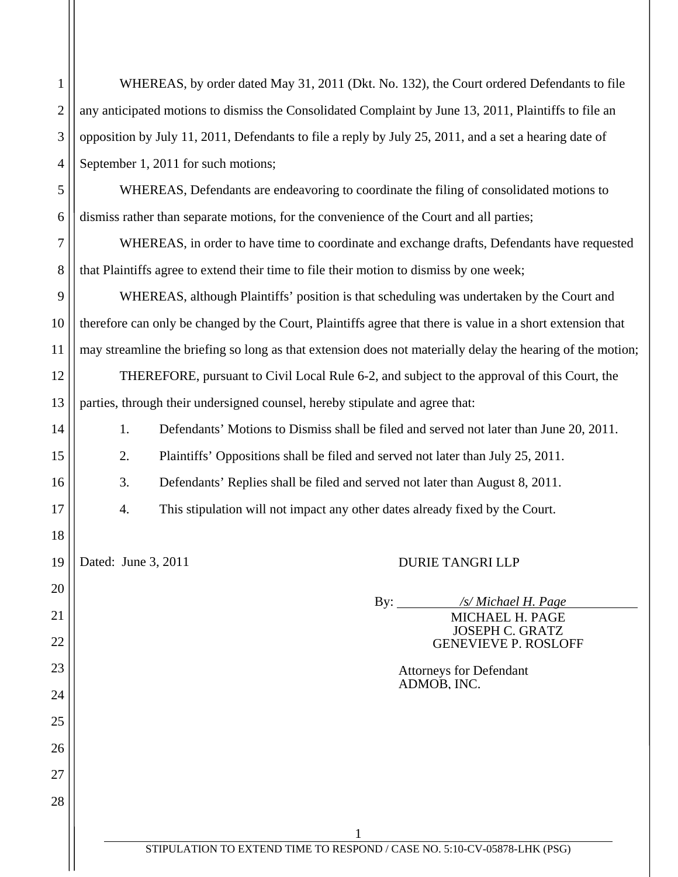| $1$ | WHEREAS, by order dated May 31, 2011 (Dkt. No. 132), the Court ordered Defendants to file                      |
|-----|----------------------------------------------------------------------------------------------------------------|
|     | $2$   any anticipated motions to dismiss the Consolidated Complaint by June 13, 2011, Plaintiffs to file an    |
|     | $3 \mid$ opposition by July 11, 2011, Defendants to file a reply by July 25, 2011, and a set a hearing date of |
|     | $4 \mid$ September 1, 2011 for such motions;                                                                   |
| 5   | WHEREAS, Defendants are endeavoring to coordinate the filing of consolidated motions to                        |

dismiss rather than separate motions, for the convenience of the Court and all parties;

WHEREAS, in order to have time to coordinate and exchange drafts, Defendants have requested that Plaintiffs agree to extend their time to file their motion to dismiss by one week;

WHEREAS, although Plaintiffs' position is that scheduling was undertaken by the Court and therefore can only be changed by the Court, Plaintiffs agree that there is value in a short extension that may streamline the briefing so long as that extension does not materially delay the hearing of the motion; THEREFORE, pursuant to Civil Local Rule 6-2, and subject to the approval of this Court, the

parties, through their undersigned counsel, hereby stipulate and agree that:

1. Defendants' Motions to Dismiss shall be filed and served not later than June 20, 2011.

2. Plaintiffs' Oppositions shall be filed and served not later than July 25, 2011.

3. Defendants' Replies shall be filed and served not later than August 8, 2011.

4. This stipulation will not impact any other dates already fixed by the Court.

6

7

8

9

10

11

12

13

14

15

16

17

18

19

20

21

22

23

24

25

26

27

28

Dated: June 3, 2011 DURIE TANGRI LLP

By: */s/ Michael H. Page* MICHAEL H. PAGE JOSEPH C. GRATZ GENEVIEVE P. ROSLOFF

> Attorneys for Defendant ADMOB, INC.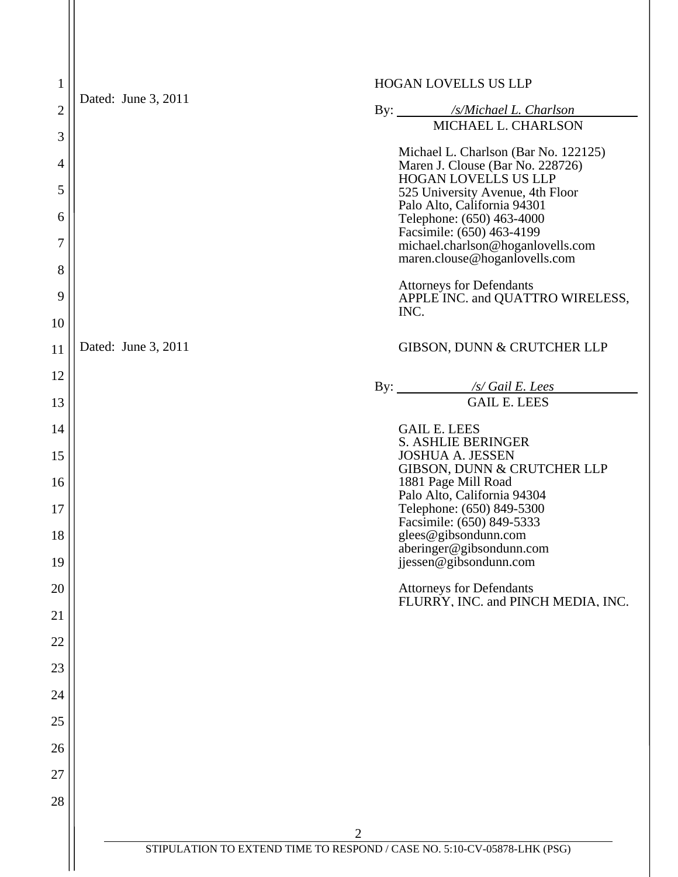| $\mathbf{1}$   | HOGAN LOVELLS US LLP |                                                                             |  |
|----------------|----------------------|-----------------------------------------------------------------------------|--|
| $\overline{2}$ | Dated: June 3, 2011  | By: /s/Michael L. Charlson                                                  |  |
| 3              |                      | MICHAEL L. CHARLSON                                                         |  |
| 4              |                      | Michael L. Charlson (Bar No. 122125)<br>Maren J. Clouse (Bar No. 228726)    |  |
| 5              |                      | <b>HOGAN LOVELLS US LLP</b><br>525 University Avenue, 4th Floor             |  |
| 6              |                      | Palo Alto, California 94301<br>Telephone: (650) 463-4000                    |  |
| 7              |                      | Facsimile: (650) 463-4199<br>michael.charlson@hoganlovells.com              |  |
| 8              |                      | maren.clouse@hoganIovells.com                                               |  |
| 9<br>10        |                      | <b>Attorneys for Defendants</b><br>APPLE INC. and QUATTRO WIRELESS,<br>INC. |  |
| 11             | Dated: June 3, 2011  | GIBSON, DUNN & CRUTCHER LLP                                                 |  |
| 12             |                      |                                                                             |  |
| 13             |                      | By: /s/ Gail E. Lees<br><b>GAIL E. LEES</b>                                 |  |
| 14             |                      | <b>GAIL E. LEES</b>                                                         |  |
| 15             |                      | <b>S. ASHLIE BERINGER</b><br><b>JOSHUA A. JESSEN</b>                        |  |
| 16             |                      | GIBSON, DUNN & CRUTCHER LLP<br>1881 Page Mill Road                          |  |
|                |                      | Palo Alto, California 94304                                                 |  |
| 17             |                      | Telephone: (650) 849-5300<br>Facsimile: (650) 849-5333                      |  |
| 18             |                      | glees@gibsondunn.com<br>aberinger@gibsondunn.com                            |  |
| 19             |                      | jjessen@gibsondunn.com                                                      |  |
| 20             |                      | <b>Attorneys for Defendants</b><br>FLURRY, INC. and PINCH MEDIA, INC.       |  |
| 21             |                      |                                                                             |  |
| 22             |                      |                                                                             |  |
| 23             |                      |                                                                             |  |
| 24             |                      |                                                                             |  |
| 25             |                      |                                                                             |  |
| 26             |                      |                                                                             |  |
| 27             |                      |                                                                             |  |
| 28             |                      |                                                                             |  |
|                |                      | $\overline{2}$                                                              |  |
|                |                      | STIPULATION TO EXTEND TIME TO RESPOND / CASE NO. 5:10-CV-05878-LHK (PSG)    |  |

 $\mathbf{H}$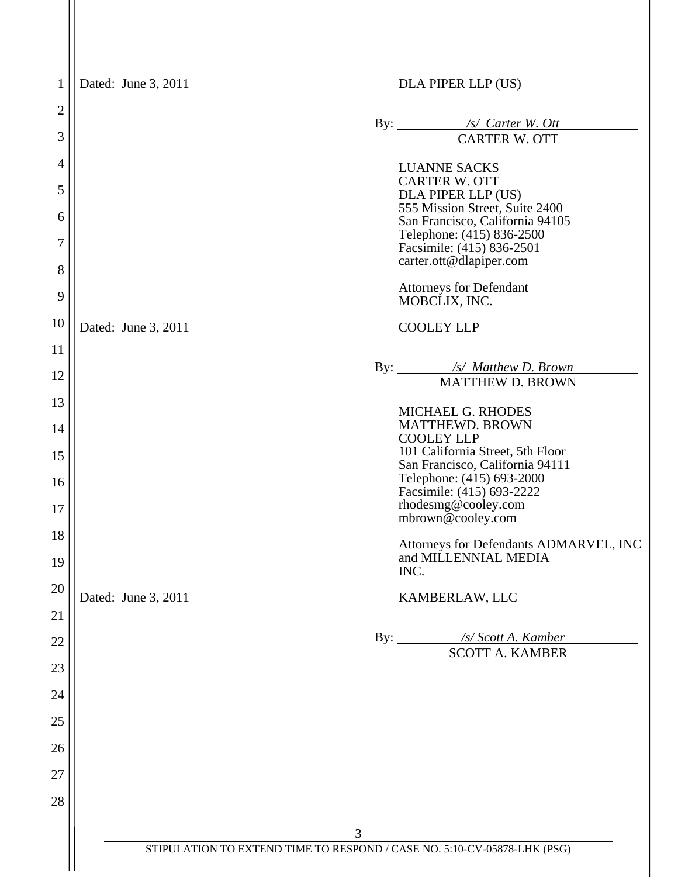| $\mathbf{1}$   | Dated: June 3, 2011 | DLA PIPER LLP (US)                                                       |
|----------------|---------------------|--------------------------------------------------------------------------|
| $\overline{2}$ |                     |                                                                          |
| 3              |                     | By: <u>/s/ Carter W. Ott</u><br><b>CARTER W. OTT</b>                     |
| 4              |                     | <b>LUANNE SACKS</b>                                                      |
| 5              |                     | <b>CARTER W. OTT</b><br>DLA PIPER LLP (US)                               |
| 6              |                     | 555 Mission Street, Suite 2400<br>San Francisco, California 94105        |
| 7              |                     | Telephone: (415) 836-2500<br>Facsimile: (415) 836-2501                   |
| 8              |                     | carter.ott@dlapiper.com                                                  |
| 9              |                     | <b>Attorneys for Defendant</b><br>MOBCLIX, INC.                          |
| 10             | Dated: June 3, 2011 | <b>COOLEY LLP</b>                                                        |
| 11             |                     | By: /s/ Matthew D. Brown                                                 |
| 12             |                     | <b>MATTHEW D. BROWN</b>                                                  |
| 13             |                     | MICHAEL G. RHODES<br><b>MATTHEWD. BROWN</b>                              |
| 14             |                     | <b>COOLEY LLP</b>                                                        |
| 15             |                     | 101 California Street, 5th Floor<br>San Francisco, California 94111      |
| 16             |                     | Telephone: (415) 693-2000<br>Facsimile: (415) 693-2222                   |
| 17             |                     | rhodesmg@cooley.com<br>mbrown@cooley.com                                 |
| 18<br>19       |                     | Attorneys for Defendants ADMARVEL, INC<br>and MILLENNIAL MEDIA<br>INC.   |
| 20             | Dated: June 3, 2011 | KAMBERLAW, LLC                                                           |
| 21             |                     |                                                                          |
| 22             |                     | By: /s/ Scott A. Kamber<br><b>SCOTT A. KAMBER</b>                        |
| 23             |                     |                                                                          |
| 24             |                     |                                                                          |
| 25             |                     |                                                                          |
| 26             |                     |                                                                          |
| 27             |                     |                                                                          |
| 28             |                     |                                                                          |
|                |                     | 3                                                                        |
|                |                     | STIPULATION TO EXTEND TIME TO RESPOND / CASE NO. 5:10-CV-05878-LHK (PSG) |
|                |                     |                                                                          |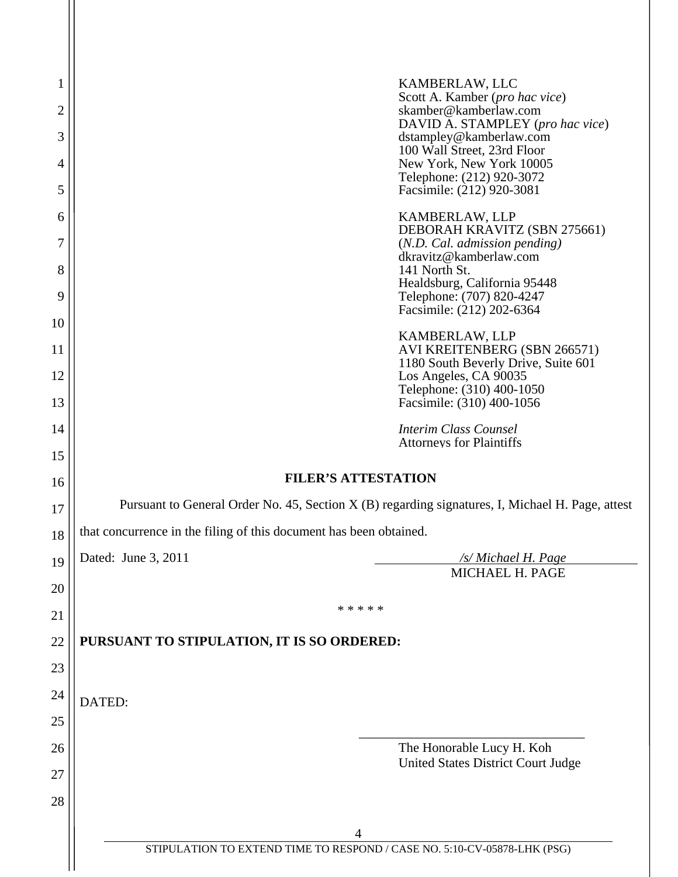| 1<br>$\overline{2}$ | KAMBERLAW, LLC<br>Scott A. Kamber (pro hac vice)<br>skamber@kamberlaw.com                        |  |
|---------------------|--------------------------------------------------------------------------------------------------|--|
| 3                   | DAVID A. STAMPLEY (pro hac vice)<br>dstampley@kamberlaw.com                                      |  |
| 4                   | 100 Wall Street, 23rd Floor<br>New York, New York 10005                                          |  |
| 5                   | Telephone: (212) 920-3072<br>Facsimile: (212) 920-3081                                           |  |
| 6                   | KAMBERLAW, LLP                                                                                   |  |
| 7                   | DEBORAH KRAVITZ (SBN 275661)<br>(N.D. Cal. admission pending)                                    |  |
| 8                   | dkravitz@kamberlaw.com<br>141 North St.                                                          |  |
| 9                   | Healdsburg, California 95448<br>Telephone: (707) 820-4247<br>Facsimile: (212) 202-6364           |  |
| 10                  |                                                                                                  |  |
| 11                  | KAMBERLAW, LLP<br>AVI KREITENBERG (SBN 266571)<br>1180 South Beverly Drive, Suite 601            |  |
| 12                  | Los Angeles, CA 90035<br>Telephone: (310) 400-1050                                               |  |
| 13                  | Facsimile: (310) 400-1056                                                                        |  |
| 14                  | <b>Interim Class Counsel</b><br><b>Attorneys for Plaintiffs</b>                                  |  |
| 15                  |                                                                                                  |  |
| 16                  | <b>FILER'S ATTESTATION</b>                                                                       |  |
| 17                  | Pursuant to General Order No. 45, Section X (B) regarding signatures, I, Michael H. Page, attest |  |
| 18                  | that concurrence in the filing of this document has been obtained.                               |  |
| 19                  | Dated: June 3, 2011<br>/s/ Michael H. Page<br>MICHAEL H. PAGE                                    |  |
| 20                  |                                                                                                  |  |
| 21                  | * * * * *                                                                                        |  |
| 22                  | PURSUANT TO STIPULATION, IT IS SO ORDERED:                                                       |  |
| 23                  |                                                                                                  |  |
| 24                  | DATED:                                                                                           |  |
| 25                  |                                                                                                  |  |
| 26                  | The Honorable Lucy H. Koh<br><b>United States District Court Judge</b>                           |  |
| 27                  |                                                                                                  |  |
| 28                  |                                                                                                  |  |
|                     | 4                                                                                                |  |
|                     | STIPULATION TO EXTEND TIME TO RESPOND / CASE NO. 5:10-CV-05878-LHK (PSG)                         |  |